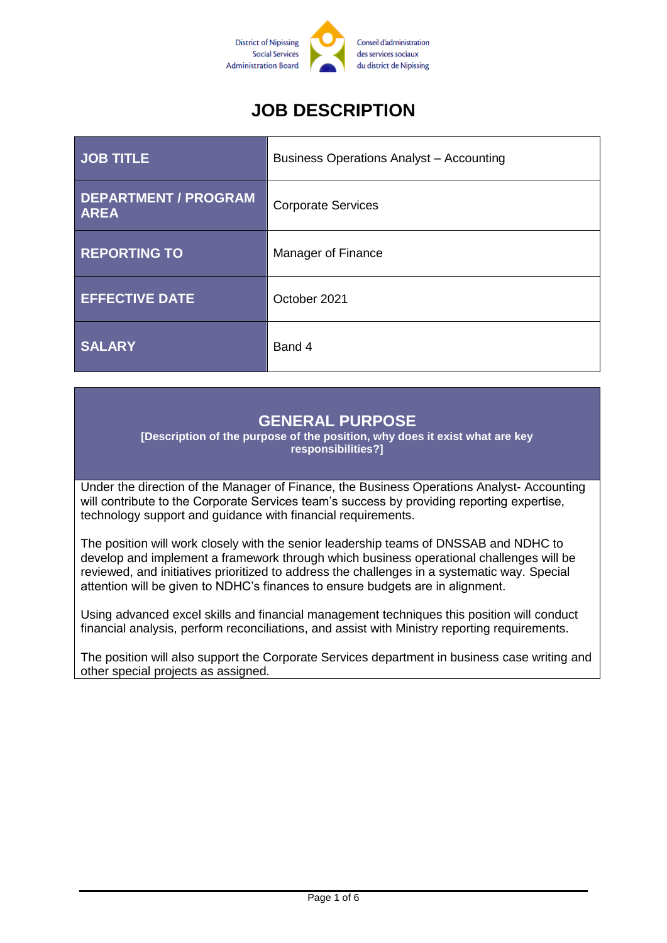

# **JOB DESCRIPTION**

| JOB TITLE                                  | <b>Business Operations Analyst - Accounting</b> |
|--------------------------------------------|-------------------------------------------------|
| <b>DEPARTMENT / PROGRAM</b><br><b>AREA</b> | <b>Corporate Services</b>                       |
| <b>REPORTING TO</b>                        | Manager of Finance                              |
| <b>EFFECTIVE DATE</b>                      | October 2021                                    |
| <b>SALARY</b>                              | Band 4                                          |

#### **GENERAL PURPOSE**

**[Description of the purpose of the position, why does it exist what are key responsibilities?]**

Under the direction of the Manager of Finance, the Business Operations Analyst- Accounting will contribute to the Corporate Services team's success by providing reporting expertise, technology support and guidance with financial requirements.

The position will work closely with the senior leadership teams of DNSSAB and NDHC to develop and implement a framework through which business operational challenges will be reviewed, and initiatives prioritized to address the challenges in a systematic way. Special attention will be given to NDHC's finances to ensure budgets are in alignment.

Using advanced excel skills and financial management techniques this position will conduct financial analysis, perform reconciliations, and assist with Ministry reporting requirements.

The position will also support the Corporate Services department in business case writing and other special projects as assigned.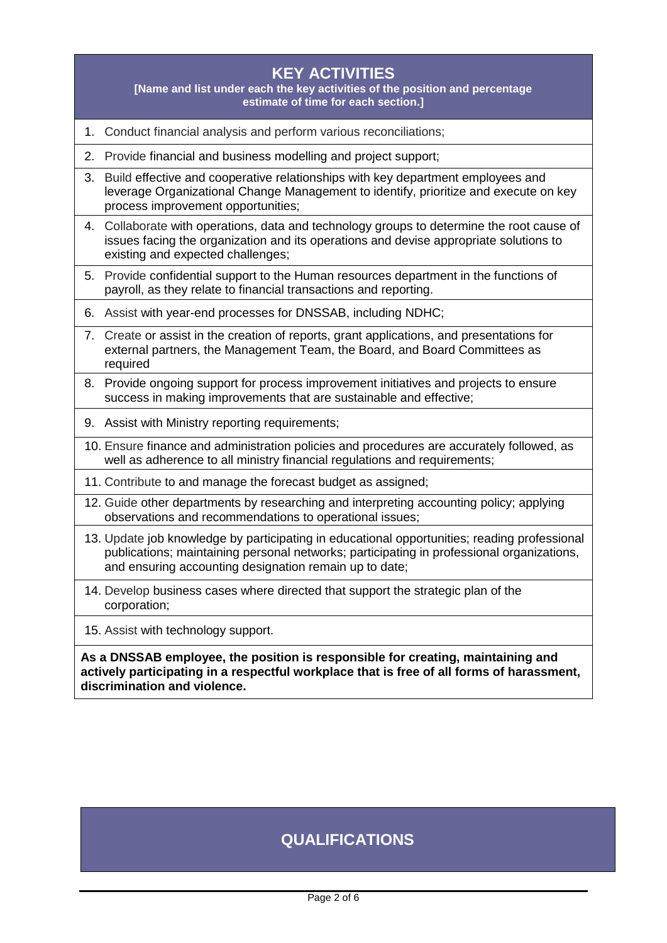| <b>KEY ACTIVITIES</b><br>[Name and list under each the key activities of the position and percentage<br>estimate of time for each section.]                                                                  |                                                                                                                                                                                                                                                    |  |
|--------------------------------------------------------------------------------------------------------------------------------------------------------------------------------------------------------------|----------------------------------------------------------------------------------------------------------------------------------------------------------------------------------------------------------------------------------------------------|--|
| 1.                                                                                                                                                                                                           | Conduct financial analysis and perform various reconciliations;                                                                                                                                                                                    |  |
| 2.                                                                                                                                                                                                           | Provide financial and business modelling and project support;                                                                                                                                                                                      |  |
| 3.                                                                                                                                                                                                           | Build effective and cooperative relationships with key department employees and<br>leverage Organizational Change Management to identify, prioritize and execute on key<br>process improvement opportunities;                                      |  |
| 4.                                                                                                                                                                                                           | Collaborate with operations, data and technology groups to determine the root cause of<br>issues facing the organization and its operations and devise appropriate solutions to<br>existing and expected challenges;                               |  |
| 5.                                                                                                                                                                                                           | Provide confidential support to the Human resources department in the functions of<br>payroll, as they relate to financial transactions and reporting.                                                                                             |  |
| 6.                                                                                                                                                                                                           | Assist with year-end processes for DNSSAB, including NDHC;                                                                                                                                                                                         |  |
|                                                                                                                                                                                                              | 7. Create or assist in the creation of reports, grant applications, and presentations for<br>external partners, the Management Team, the Board, and Board Committees as<br>required                                                                |  |
| 8.                                                                                                                                                                                                           | Provide ongoing support for process improvement initiatives and projects to ensure<br>success in making improvements that are sustainable and effective;                                                                                           |  |
|                                                                                                                                                                                                              | 9. Assist with Ministry reporting requirements;                                                                                                                                                                                                    |  |
|                                                                                                                                                                                                              | 10. Ensure finance and administration policies and procedures are accurately followed, as<br>well as adherence to all ministry financial regulations and requirements;                                                                             |  |
|                                                                                                                                                                                                              | 11. Contribute to and manage the forecast budget as assigned;                                                                                                                                                                                      |  |
|                                                                                                                                                                                                              | 12. Guide other departments by researching and interpreting accounting policy; applying<br>observations and recommendations to operational issues;                                                                                                 |  |
|                                                                                                                                                                                                              | 13. Update job knowledge by participating in educational opportunities; reading professional<br>publications; maintaining personal networks; participating in professional organizations<br>and ensuring accounting designation remain up to date; |  |
|                                                                                                                                                                                                              | 14. Develop business cases where directed that support the strategic plan of the<br>corporation;                                                                                                                                                   |  |
|                                                                                                                                                                                                              | 15. Assist with technology support.                                                                                                                                                                                                                |  |
| As a DNSSAB employee, the position is responsible for creating, maintaining and<br>actively participating in a respectful workplace that is free of all forms of harassment,<br>discrimination and violence. |                                                                                                                                                                                                                                                    |  |

# **QUALIFICATIONS**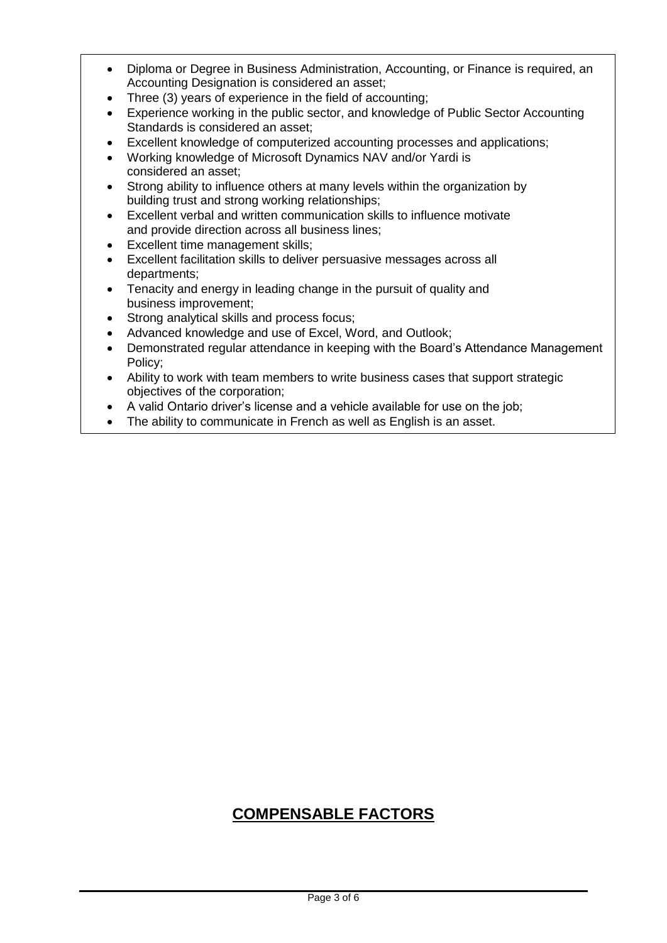- Diploma or Degree in Business Administration, Accounting, or Finance is required, an Accounting Designation is considered an asset;
- Three (3) years of experience in the field of accounting;
- Experience working in the public sector, and knowledge of Public Sector Accounting Standards is considered an asset;
- Excellent knowledge of computerized accounting processes and applications;
- Working knowledge of Microsoft Dynamics NAV and/or Yardi is considered an asset;
- Strong ability to influence others at many levels within the organization by building trust and strong working relationships;
- Excellent verbal and written communication skills to influence motivate and provide direction across all business lines;
- Excellent time management skills;
- Excellent facilitation skills to deliver persuasive messages across all departments;
- Tenacity and energy in leading change in the pursuit of quality and business improvement;
- Strong analytical skills and process focus;
- Advanced knowledge and use of Excel, Word, and Outlook;
- Demonstrated regular attendance in keeping with the Board's Attendance Management Policy;
- Ability to work with team members to write business cases that support strategic objectives of the corporation;
- A valid Ontario driver's license and a vehicle available for use on the job;
- The ability to communicate in French as well as English is an asset.

# **COMPENSABLE FACTORS**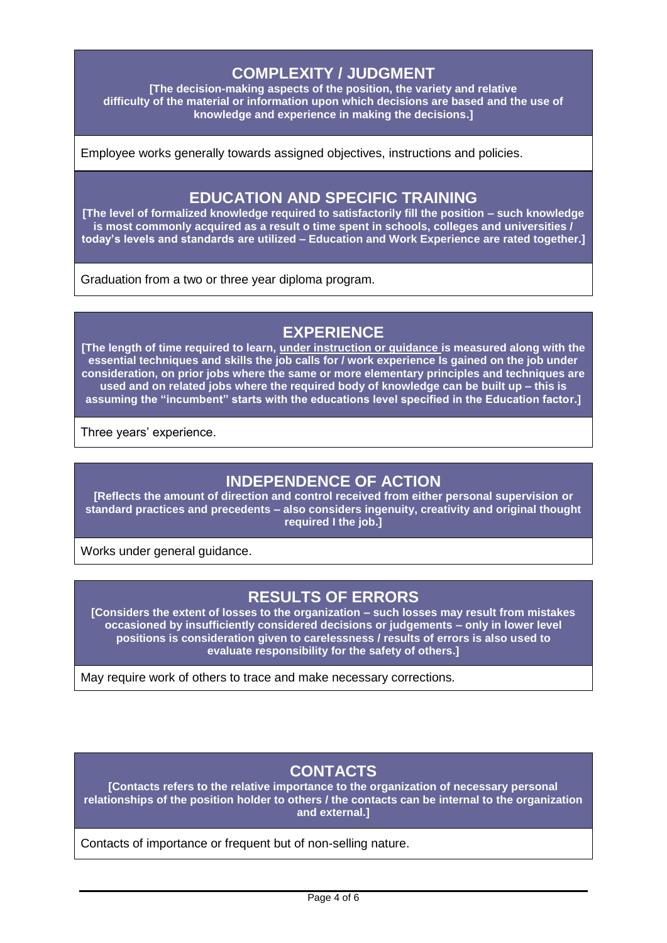## **COMPLEXITY / JUDGMENT**

**[The decision-making aspects of the position, the variety and relative difficulty of the material or information upon which decisions are based and the use of knowledge and experience in making the decisions.]**

Employee works generally towards assigned objectives, instructions and policies.

#### **EDUCATION AND SPECIFIC TRAINING**

**[The level of formalized knowledge required to satisfactorily fill the position – such knowledge is most commonly acquired as a result o time spent in schools, colleges and universities / today's levels and standards are utilized – Education and Work Experience are rated together.]**

Graduation from a two or three year diploma program.

## **EXPERIENCE**

**[The length of time required to learn, under instruction or guidance is measured along with the essential techniques and skills the job calls for / work experience Is gained on the job under consideration, on prior jobs where the same or more elementary principles and techniques are used and on related jobs where the required body of knowledge can be built up – this is assuming the "incumbent" starts with the educations level specified in the Education factor.]**

Three years' experience.

#### **INDEPENDENCE OF ACTION**

**[Reflects the amount of direction and control received from either personal supervision or standard practices and precedents – also considers ingenuity, creativity and original thought required I the job.]**

Works under general quidance.

#### **RESULTS OF ERRORS**

**[Considers the extent of losses to the organization – such losses may result from mistakes occasioned by insufficiently considered decisions or judgements – only in lower level positions is consideration given to carelessness / results of errors is also used to evaluate responsibility for the safety of others.]**

May require work of others to trace and make necessary corrections.

# **CONTACTS**

**[Contacts refers to the relative importance to the organization of necessary personal relationships of the position holder to others / the contacts can be internal to the organization and external.]**

Contacts of importance or frequent but of non-selling nature.